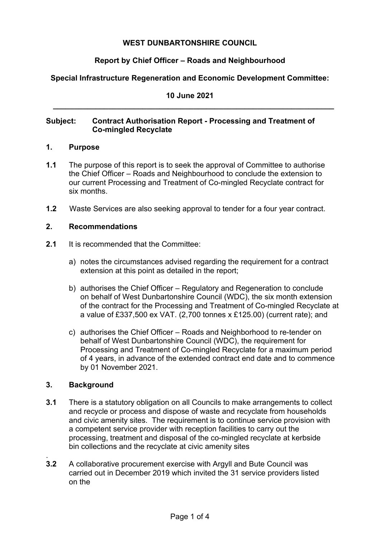# **WEST DUNBARTONSHIRE COUNCIL**

# **Report by Chief Officer – Roads and Neighbourhood**

# **Special Infrastructure Regeneration and Economic Development Committee:**

**10 June 2021 \_\_\_\_\_\_\_\_\_\_\_\_\_\_\_\_\_\_\_\_\_\_\_\_\_\_\_\_\_\_\_\_\_\_\_\_\_\_\_\_\_\_\_\_\_\_\_\_\_\_\_\_\_\_\_\_\_\_\_\_\_\_\_\_\_\_**

# **Subject: Contract Authorisation Report - Processing and Treatment of Co-mingled Recyclate**

#### **1. Purpose**

- **1.1** The purpose of this report is to seek the approval of Committee to authorise the Chief Officer – Roads and Neighbourhood to conclude the extension to our current Processing and Treatment of Co-mingled Recyclate contract for six months.
- **1.2** Waste Services are also seeking approval to tender for a four year contract.

#### **2. Recommendations**

- **2.1** It is recommended that the Committee:
	- a) notes the circumstances advised regarding the requirement for a contract extension at this point as detailed in the report;
	- b) authorises the Chief Officer Regulatory and Regeneration to conclude on behalf of West Dunbartonshire Council (WDC), the six month extension of the contract for the Processing and Treatment of Co-mingled Recyclate at a value of £337,500 ex VAT. (2,700 tonnes x £125.00) (current rate); and
	- c) authorises the Chief Officer Roads and Neighborhood to re-tender on behalf of West Dunbartonshire Council (WDC), the requirement for Processing and Treatment of Co-mingled Recyclate for a maximum period of 4 years, in advance of the extended contract end date and to commence by 01 November 2021.

#### **3. Background**

- **3.1** There is a statutory obligation on all Councils to make arrangements to collect and recycle or process and dispose of waste and recyclate from households and civic amenity sites. The requirement is to continue service provision with a competent service provider with reception facilities to carry out the processing, treatment and disposal of the co-mingled recyclate at kerbside bin collections and the recyclate at civic amenity sites
- . **3.2** A collaborative procurement exercise with Argyll and Bute Council was carried out in December 2019 which invited the 31 service providers listed on the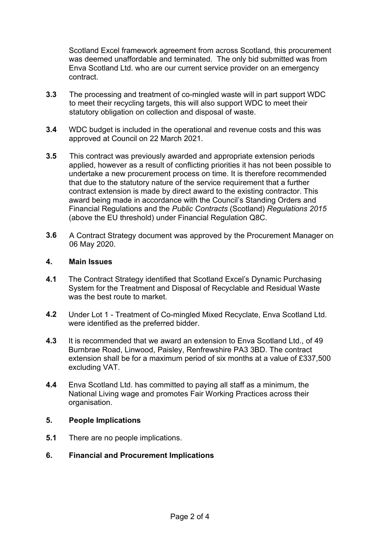Scotland Excel framework agreement from across Scotland, this procurement was deemed unaffordable and terminated. The only bid submitted was from Enva Scotland Ltd. who are our current service provider on an emergency contract.

- **3.3** The processing and treatment of co-mingled waste will in part support WDC to meet their recycling targets, this will also support WDC to meet their statutory obligation on collection and disposal of waste.
- **3.4** WDC budget is included in the operational and revenue costs and this was approved at Council on 22 March 2021.
- **3.5** This contract was previously awarded and appropriate extension periods applied, however as a result of conflicting priorities it has not been possible to undertake a new procurement process on time. It is therefore recommended that due to the statutory nature of the service requirement that a further contract extension is made by direct award to the existing contractor. This award being made in accordance with the Council's Standing Orders and Financial Regulations and the *Public Contracts* (Scotland) *Regulations 2015* (above the EU threshold) under Financial Regulation Q8C.
- **3.6** A Contract Strategy document was approved by the Procurement Manager on 06 May 2020.

#### **4. Main Issues**

- **4.1** The Contract Strategy identified that Scotland Excel's Dynamic Purchasing System for the Treatment and Disposal of Recyclable and Residual Waste was the best route to market.
- **4.2** Under Lot 1 Treatment of Co-mingled Mixed Recyclate, Enva Scotland Ltd. were identified as the preferred bidder.
- **4.3** It is recommended that we award an extension to Enva Scotland Ltd., of 49 Burnbrae Road, Linwood, Paisley, Renfrewshire PA3 3BD. The contract extension shall be for a maximum period of six months at a value of £337,500 excluding VAT.
- **4.4** Enva Scotland Ltd. has committed to paying all staff as a minimum, the National Living wage and promotes Fair Working Practices across their organisation.

#### **5. People Implications**

**5.1** There are no people implications.

#### **6. Financial and Procurement Implications**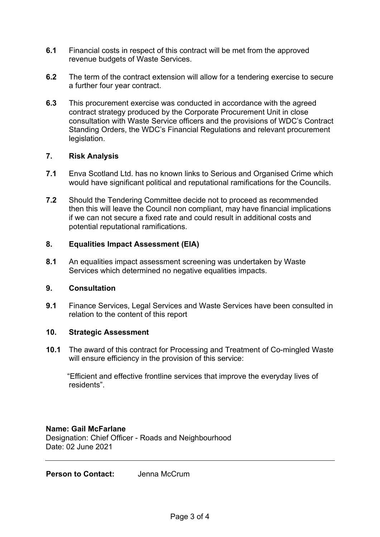- **6.1** Financial costs in respect of this contract will be met from the approved revenue budgets of Waste Services.
- **6.2** The term of the contract extension will allow for a tendering exercise to secure a further four year contract.
- **6.3** This procurement exercise was conducted in accordance with the agreed contract strategy produced by the Corporate Procurement Unit in close consultation with Waste Service officers and the provisions of WDC's Contract Standing Orders, the WDC's Financial Regulations and relevant procurement legislation.

### **7. Risk Analysis**

- **7.1** Enva Scotland Ltd. has no known links to Serious and Organised Crime which would have significant political and reputational ramifications for the Councils.
- **7.2** Should the Tendering Committee decide not to proceed as recommended then this will leave the Council non compliant, may have financial implications if we can not secure a fixed rate and could result in additional costs and potential reputational ramifications.

### **8. Equalities Impact Assessment (EIA)**

**8.1** An equalities impact assessment screening was undertaken by Waste Services which determined no negative equalities impacts.

#### **9. Consultation**

**9.1** Finance Services, Legal Services and Waste Services have been consulted in relation to the content of this report

#### **10. Strategic Assessment**

**10.1** The award of this contract for Processing and Treatment of Co-mingled Waste will ensure efficiency in the provision of this service:

"Efficient and effective frontline services that improve the everyday lives of residents".

#### **Name: Gail McFarlane**

Designation: Chief Officer - Roads and Neighbourhood Date: 02 June 2021

**Person to Contact:** Jenna McCrum